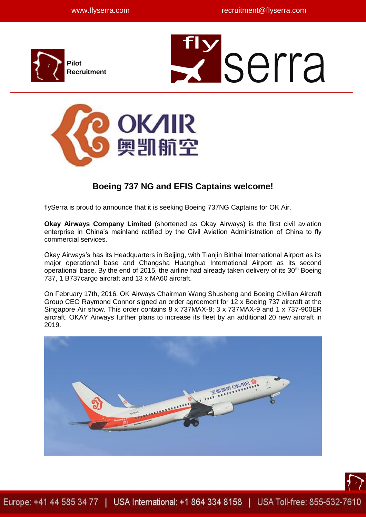

# **Z** serra



# **Boeing 737 NG and EFIS Captains welcome!**

flySerra is proud to announce that it is seeking Boeing 737NG Captains for OK Air.

**Okay Airways Company Limited** (shortened as Okay Airways) is the first civil aviation enterprise in China's mainland ratified by the Civil Aviation Administration of China to fly commercial services.

Okay Airways's has its Headquarters in Beijing, with Tianjin Binhai International Airport as its major operational base and Changsha Huanghua International Airport as its second operational base. By the end of 2015, the airline had already taken delivery of its 30<sup>th</sup> Boeing 737, 1 B737cargo aircraft and 13 x MA60 aircraft.

On February 17th, 2016, OK Airways Chairman Wang Shusheng and Boeing Civilian Aircraft Group CEO Raymond Connor signed an order agreement for 12 x Boeing 737 aircraft at the Singapore Air show. This order contains 8 x 737MAX-8; 3 x 737MAX-9 and 1 x 737-900ER aircraft. OKAY Airways further plans to increase its fleet by an additional 20 new aircraft in 2019.



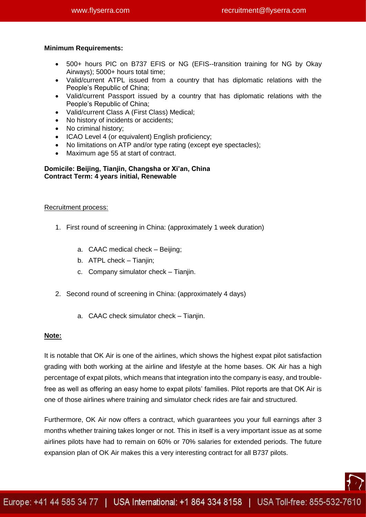### **Minimum Requirements:**

- 500+ hours PIC on B737 EFIS or NG (EFIS--transition training for NG by Okay Airways); 5000+ hours total time;
- Valid/current ATPL issued from a country that has diplomatic relations with the People's Republic of China;
- Valid/current Passport issued by a country that has diplomatic relations with the People's Republic of China;
- Valid/current Class A (First Class) Medical;
- No history of incidents or accidents;
- No criminal history;
- ICAO Level 4 (or equivalent) English proficiency;
- No limitations on ATP and/or type rating (except eye spectacles);
- Maximum age 55 at start of contract.

### **Domicile: Beijing, Tianjin, Changsha or Xi'an, China Contract Term: 4 years initial, Renewable**

### Recruitment process:

- 1. First round of screening in China: (approximately 1 week duration)
	- a. CAAC medical check Beijing;
	- b. ATPL check Tianjin;
	- c. Company simulator check Tianjin.
- 2. Second round of screening in China: (approximately 4 days)
	- a. CAAC check simulator check Tianjin.

### **Note:**

It is notable that OK Air is one of the airlines, which shows the highest expat pilot satisfaction grading with both working at the airline and lifestyle at the home bases. OK Air has a high percentage of expat pilots, which means that integration into the company is easy, and troublefree as well as offering an easy home to expat pilots' families. Pilot reports are that OK Air is one of those airlines where training and simulator check rides are fair and structured.

Furthermore, OK Air now offers a contract, which guarantees you your full earnings after 3 months whether training takes longer or not. This in itself is a very important issue as at some airlines pilots have had to remain on 60% or 70% salaries for extended periods. The future expansion plan of OK Air makes this a very interesting contract for all B737 pilots.

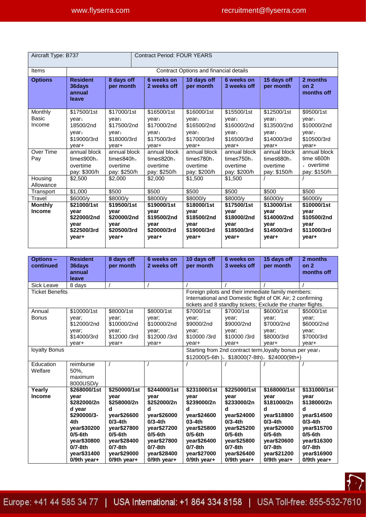| Aircraft Type: B737               |                                                                           |                                                                           | <b>Contract Period: FOUR YEARS</b>                                       |                                                                           |                                                                           |                                                                      |                                                                     |  |  |  |
|-----------------------------------|---------------------------------------------------------------------------|---------------------------------------------------------------------------|--------------------------------------------------------------------------|---------------------------------------------------------------------------|---------------------------------------------------------------------------|----------------------------------------------------------------------|---------------------------------------------------------------------|--|--|--|
| Items                             | Contract Options and financial details                                    |                                                                           |                                                                          |                                                                           |                                                                           |                                                                      |                                                                     |  |  |  |
| <b>Options</b>                    | <b>Resident</b><br>36days<br>annual<br>leave                              | 8 days off<br>per month                                                   | 6 weeks on<br>2 weeks off                                                | 10 days off<br>per month                                                  | 6 weeks on<br>3 weeks off                                                 | 15 days off<br>per month                                             | 2 months<br>on <sub>2</sub><br>months off                           |  |  |  |
| Monthly<br><b>Basic</b><br>Income | \$17500/1st<br>year,<br>18500/2nd<br>year,<br>\$19000/3rd<br>vear+        | \$17000/1st<br>year:<br>\$17500/2nd<br>year;<br>\$18000/3rd<br>vear+      | \$16500/1st<br>year:<br>\$17000/2nd<br>year;<br>\$17500/3rd<br>vear+     | \$16000/1st<br>year:<br>\$16500/2nd<br>year;<br>\$17000/3rd<br>vear+      | \$15500/1st<br>year:<br>\$16000/2nd<br>year;<br>\$16500/3rd<br>vear+      | \$12500/1st<br>year:<br>\$13500/2nd<br>year;<br>\$14000/3rd<br>vear+ | \$9500/1st<br>year:<br>\$10000/2nd<br>year;<br>\$10500/3rd<br>vear+ |  |  |  |
| Over Time<br>Pay<br>Housing       | annual block<br>time $\leq 900h$ ,<br>overtime<br>pay: \$300/h<br>\$2,500 | annual block<br>time $\leq 840h$ ,<br>overtime<br>pay: \$250/h<br>\$2,000 | annual block<br>time $\leq$ 820h,<br>overtime<br>pay: \$250/h<br>\$2,000 | annual block<br>time $\leq 780h$ ,<br>overtime<br>pay: \$200/h<br>\$1.500 | annual block<br>time $\leq 750h$ ,<br>overtime<br>pay: \$200/h<br>\$1,500 | annual block<br>time $\leq 680h$ ,<br>overtime<br>pay: \$150/h       | annual block<br>time $\leq 600h$<br>, overtime<br>pay: \$150/h      |  |  |  |
| Allowance                         |                                                                           |                                                                           |                                                                          |                                                                           |                                                                           |                                                                      |                                                                     |  |  |  |
| Transport<br>Travel               | \$1,000<br>\$6000/v                                                       | \$500<br>\$8000/v                                                         | \$500<br>\$8000/v                                                        | \$500<br>\$8000/v                                                         | \$500<br>\$8000/v                                                         | \$500<br>\$6000/v                                                    | \$500<br>\$6000/v                                                   |  |  |  |
| <b>Monthly</b><br><b>Income</b>   | \$21000/1st<br>year<br>\$22000/2nd<br>vear<br>\$22500/3rd<br>year+        | \$19500/1st<br>year<br>\$20000/2nd<br>year<br>\$20500/3rd<br>year+        | \$19000/1st<br>year<br>\$19500/2nd<br>year<br>\$20000/3rd<br>year+       | \$18000/1st<br>year<br>\$18500/2nd<br>year<br>\$19000/3rd<br>year+        | \$17500/1st<br>year<br>\$18000/2nd<br>year<br>\$18500/3rd<br>year+        | \$13000/1st<br>year<br>\$14000/2nd<br>vear<br>\$14500/3rd<br>year+   | \$10000/1st<br>year<br>\$10500/2nd<br>year<br>\$11000/3rd<br>year+  |  |  |  |

| <b>Options-</b>        | <b>Resident</b>          | 8 days off     | 6 weeks on   | 10 days off                                                 | 6 weeks on     | 15 days off   | 2 months                      |  |
|------------------------|--------------------------|----------------|--------------|-------------------------------------------------------------|----------------|---------------|-------------------------------|--|
| continued              | 36days<br>annual         | per month      | 2 weeks off  | per month                                                   | 3 weeks off    | per month     | on <sub>2</sub><br>months off |  |
|                        | leave                    |                |              |                                                             |                |               |                               |  |
| Sick Leave             | 8 days                   |                |              |                                                             |                |               |                               |  |
| <b>Ticket Benefits</b> |                          |                |              | Foreign pilots and their immediate family members:          |                |               |                               |  |
|                        |                          |                |              | International and Domestic flight of OK Air; 2 confirming   |                |               |                               |  |
|                        |                          |                |              | tickets and 8 standby tickets; Exclude the charter flights. |                |               |                               |  |
| Annual                 | \$10000/1st              | \$8000/1st     | \$8000/1st   | \$7000/1st                                                  | \$7000/1st     | \$6000/1st    | \$5000/1st                    |  |
| <b>Bonus</b>           | year;                    | year;          | year:        | year;                                                       | year;          | year:         | year;                         |  |
|                        | \$12000/2nd              | \$10000/2nd    | \$10000/2nd  | \$9000/2nd                                                  | \$9000/2nd     | \$7000/2nd    | \$6000/2nd                    |  |
|                        | year;                    | year;          | year;        | year;                                                       | year;          | year;         | year;                         |  |
|                        | \$14000/3rd              | \$12000/3rd    | \$12000 /3rd | \$10000 /3rd                                                | \$10000 /3rd   | \$8000/3rd    | \$7000/3rd                    |  |
|                        | year+                    | year+          | year+        | year+                                                       | year+          | year+         | year+                         |  |
| loyalty Bonus          |                          |                |              | Starting from 2nd contract term, loyalty bonus per year.    |                |               |                               |  |
|                        |                          |                |              | $$12000(5-6th)$ , $$18000(7-8th)$ , $$24000(9th+)$          |                |               |                               |  |
| Education              | reimburse                |                |              |                                                             |                |               |                               |  |
| Welfare                | 50%.                     |                |              |                                                             |                |               |                               |  |
|                        | maximum                  |                |              |                                                             |                |               |                               |  |
|                        | 8000USD/y                |                |              |                                                             |                |               |                               |  |
| Yearly                 | \$268000/1st             | \$250000/1st   | \$244000/1st | \$231000/1st                                                | \$225000/1st   | \$168000/1st  | \$131000/1st                  |  |
| <b>Income</b>          | year                     | year           | year         | year                                                        | year           | year          | vear                          |  |
|                        | \$282000/2n              | \$258000/2n    | \$252000/2n  | \$239000/2n                                                 | \$233000/2n    | \$181000/2n   | \$138000/2n                   |  |
|                        | d year                   | d              | d            | d                                                           | d              | d             | d                             |  |
|                        | \$290000/3-              | year\$26600    | vear\$26000  | vear\$24600                                                 | vear\$24000    | vear\$18800   | vear\$14500                   |  |
|                        | 4th                      | $0/3-4th$      | $0/3-4th$    | $03-4th$                                                    | $0/3-4th$      | $0/3-4th$     | $0/3-4th$                     |  |
|                        | year\$30200              | year\$27800    | year\$27200  | year\$25800                                                 | year\$25200    | year\$20000   | year\$15700                   |  |
|                        | $0/5$ -6th               | $0/5$ -6th     | $0/5$ -6th   | $0/5$ -6th                                                  | $0/5$ -6th     | $0/5$ -6th    | $0/5-6th$                     |  |
|                        | year\$30800<br>$0/7-8th$ | vear\$28400    | vear\$27800  | vear\$26400                                                 | vear\$25800    | vear\$20600   | year\$16300                   |  |
|                        |                          | $0/7$ -8th     | $0/7-8th$    | $0/7$ -8th                                                  | $0/7 - 8th$    | $0/7-8th$     | $0/7-8th$                     |  |
|                        | year\$31400              | year\$29000    | year\$28400  | year\$27000                                                 | year\$26400    | year\$21200   | year\$16900                   |  |
|                        | $0/9$ th year+           | $0/9$ th year+ | 0/9th year+  | $0/9$ th year+                                              | $0/9$ th year+ | $0/9th$ year+ | 0/9th year+                   |  |